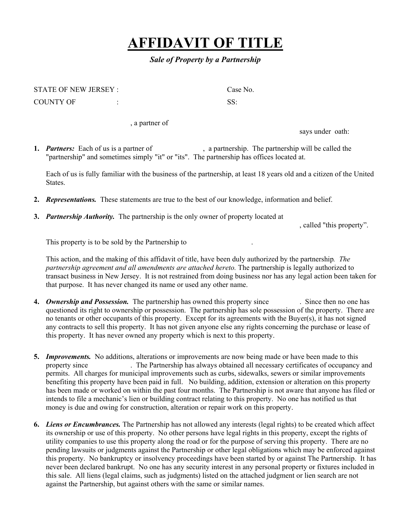## **AFFIDAVIT OF TITLE**

## *Sale of Property by a Partnership*

| STATE OF NEW JERSEY: | Case No. |
|----------------------|----------|
| COUNTY OF            |          |

, a partner of

says under oath:

**1. Partners:** Each of us is a partner of , a partnership. The partnership will be called the "partnership" and sometimes simply "it" or "its". The partnership has offices located at.

Each of us is fully familiar with the business of the partnership, at least 18 years old and a citizen of the United **States** 

- **2.** *Representations.* These statements are true to the best of our knowledge, information and belief.
- **3.** *Partnership Authority.* The partnership is the only owner of property located at

, called "this property".

This property is to be sold by the Partnership to .

This action, and the making of this affidavit of title, have been duly authorized by the partnership*. The partnership agreement and all amendments are attached hereto.* The partnership is legally authorized to transact business in New Jersey. It is not restrained from doing business nor has any legal action been taken for that purpose. It has never changed its name or used any other name.

- **4.** *Ownership and Possession.* The partnership has owned this property since . Since then no one has questioned its right to ownership or possession. The partnership has sole possession of the property. There are no tenants or other occupants of this property. Except for its agreements with the Buyer(s), it has not signed any contracts to sell this property. It has not given anyone else any rights concerning the purchase or lease of this property. It has never owned any property which is next to this property.
- **5.** *Improvements.* No additions, alterations or improvements are now being made or have been made to this property since . The Partnership has always obtained all necessary certificates of occupancy and permits. All charges for municipal improvements such as curbs, sidewalks, sewers or similar improvements benefiting this property have been paid in full. No building, addition, extension or alteration on this property has been made or worked on within the past four months. The Partnership is not aware that anyone has filed or intends to file a mechanic's lien or building contract relating to this property. No one has notified us that money is due and owing for construction, alteration or repair work on this property.
- **6.** *Liens or Encumbrances.* The Partnership has not allowed any interests (legal rights) to be created which affect its ownership or use of this property. No other persons have legal rights in this property, except the rights of utility companies to use this property along the road or for the purpose of serving this property. There are no pending lawsuits or judgments against the Partnership or other legal obligations which may be enforced against this property. No bankruptcy or insolvency proceedings have been started by or against The Partnership. It has never been declared bankrupt. No one has any security interest in any personal property or fixtures included in this sale. All liens (legal claims, such as judgments) listed on the attached judgment or lien search are not against the Partnership, but against others with the same or similar names.